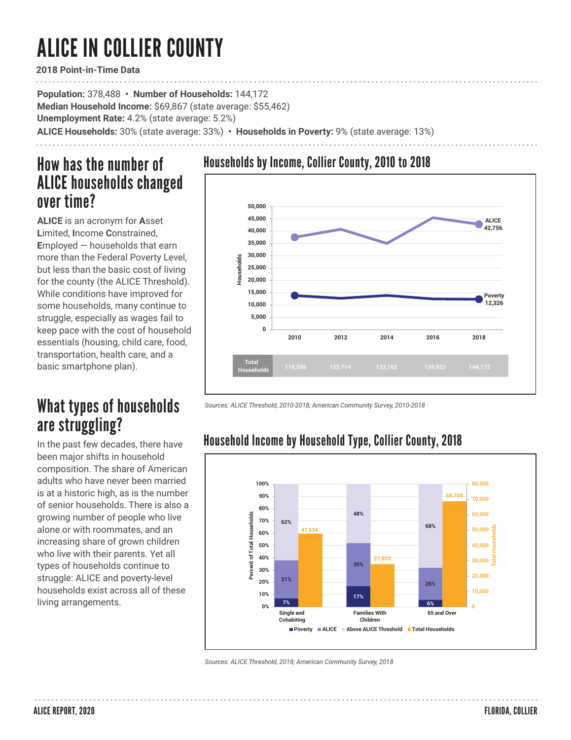# ALICE IN COLLIER COUNTY

**2018 Point-in-Time Data**

**Population:** 378,488 **• Number of Households:** 144,172 **Median Household Income:** \$69,867 (state average: \$55,462) **Unemployment Rate:** 4.2% (state average: 5.2%) **ALICE Households:** 30% (state average: 33%) **• Households in Poverty:** 9% (state average: 13%)

## How has the number of ALICE households changed over time?

**ALICE** is an acronym for **A**sset **L**imited, **I**ncome **C**onstrained, **E**mployed — households that earn more than the Federal Poverty Level, but less than the basic cost of living for the county (the ALICE Threshold). While conditions have improved for some households, many continue to struggle, especially as wages fail to keep pace with the cost of household essentials (housing, child care, food, transportation, health care, and a basic smartphone plan).

# What types of households are struggling?

In the past few decades, there have been major shifts in household composition. The share of American adults who have never been married is at a historic high, as is the number of senior households. There is also a growing number of people who live alone or with roommates, and an increasing share of grown children who live with their parents. Yet all types of households continue to struggle: ALICE and poverty-level households exist across all of these living arrangements.

## Households by Income, Collier County, 2010 to 2018



*Sources: ALICE Threshold, 2010-2018; American Community Survey, 2010-2018* 



## Household Income by Household Type, Collier County, 2018

*Sources: ALICE Threshold, 2018; American Community Survey, 2018*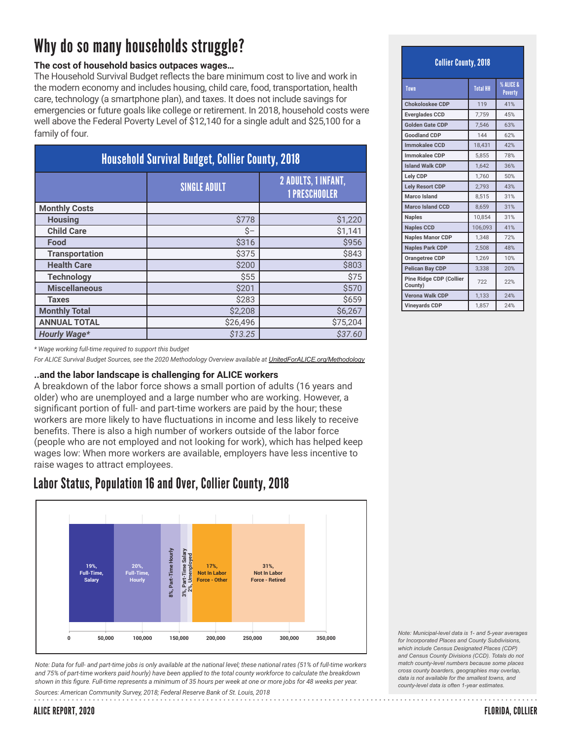# Why do so many households struggle?

### **The cost of household basics outpaces wages…**

The Household Survival Budget reflects the bare minimum cost to live and work in the modern economy and includes housing, child care, food, transportation, health care, technology (a smartphone plan), and taxes. It does not include savings for emergencies or future goals like college or retirement. In 2018, household costs were well above the Federal Poverty Level of \$12,140 for a single adult and \$25,100 for a family of four.

| <b>Household Survival Budget, Collier County, 2018</b> |                     |                                                    |  |  |
|--------------------------------------------------------|---------------------|----------------------------------------------------|--|--|
|                                                        | <b>SINGLE ADULT</b> | <b>2 ADULTS, 1 INFANT,</b><br><b>1 PRESCHOOLER</b> |  |  |
| <b>Monthly Costs</b>                                   |                     |                                                    |  |  |
| <b>Housing</b>                                         | \$778               | \$1,220                                            |  |  |
| <b>Child Care</b>                                      | \$-                 | \$1,141                                            |  |  |
| Food                                                   | \$316               | \$956                                              |  |  |
| <b>Transportation</b>                                  | \$375               | \$843                                              |  |  |
| <b>Health Care</b>                                     | \$200               | \$803                                              |  |  |
| <b>Technology</b>                                      | \$55                | \$75                                               |  |  |
| <b>Miscellaneous</b>                                   | \$201               | \$570                                              |  |  |
| <b>Taxes</b>                                           | \$283               | \$659                                              |  |  |
| <b>Monthly Total</b>                                   | \$2,208             | \$6,267                                            |  |  |
| <b>ANNUAL TOTAL</b>                                    | \$26,496            | \$75,204                                           |  |  |
| <b>Hourly Wage*</b>                                    | \$13.25             | \$37.60                                            |  |  |

*\* Wage working full-time required to support this budget*

*For ALICE Survival Budget Sources, see the 2020 Methodology Overview available at UnitedForALICE.org/Methodology*

#### **..and the labor landscape is challenging for ALICE workers**

A breakdown of the labor force shows a small portion of adults (16 years and older) who are unemployed and a large number who are working. However, a significant portion of full- and part-time workers are paid by the hour; these workers are more likely to have fluctuations in income and less likely to receive benefits. There is also a high number of workers outside of the labor force (people who are not employed and not looking for work), which has helped keep wages low: When more workers are available, employers have less incentive to raise wages to attract employees.

### Labor Status, Population 16 and Over, Collier County, 2018



*Note: Data for full- and part-time jobs is only available at the national level; these national rates (51% of full-time workers and 75% of part-time workers paid hourly) have been applied to the total county workforce to calculate the breakdown*  shown in this figure. Full-time represents a minimum of 35 hours per week at one or more jobs for 48 weeks per year. Sources: American Community Survey, 2018; Federal Reserve Bank of St. Louis, 2018

*Note: Municipal-level data is 1- and 5-year averages for Incorporated Places and County Subdivisions, which include Census Designated Places (CDP) and Census County Divisions (CCD). Totals do not match county-level numbers because some places cross county boarders, geographies may overlap, data is not available for the smallest towns, and county-level data is often 1-year estimates.*

ALICE REPORT, 2020

### Collier County, 2018

| Town                               | <b>Total HH</b> | % ALICE &<br><b>Poverty</b> |
|------------------------------------|-----------------|-----------------------------|
| <b>Chokoloskee CDP</b>             | 119             | 41%                         |
| <b>Everglades CCD</b>              | 7,759           | 45%                         |
| <b>Golden Gate CDP</b>             | 7.546           | 63%                         |
| <b>Goodland CDP</b>                | 144             | 62%                         |
| <b>Immokalee CCD</b>               | 18,431          | 42%                         |
| <b>Immokalee CDP</b>               | 5.855           | 78%                         |
| <b>Island Walk CDP</b>             | 1,642           | 36%                         |
| Lely CDP                           | 1,760           | 50%                         |
| <b>Lely Resort CDP</b>             | 2,793           | 43%                         |
| <b>Marco Island</b>                | 8.515           | 31%                         |
| <b>Marco Island CCD</b>            | 8,659           | 31%                         |
| <b>Naples</b>                      | 10.854          | 31%                         |
| <b>Naples CCD</b>                  | 106,093         | 41%                         |
| <b>Naples Manor CDP</b>            | 1.348           | 72%                         |
| <b>Naples Park CDP</b>             | 2,508           | 48%                         |
| Orangetree CDP                     | 1,269           | 10%                         |
| <b>Pelican Bay CDP</b>             | 3,338           | 20%                         |
| Pine Ridge CDP (Collier<br>County) | 722             | 22%                         |
| <b>Verona Walk CDP</b>             | 1,133           | 24%                         |
| <b>Vineyards CDP</b>               | 1,857           | 24%                         |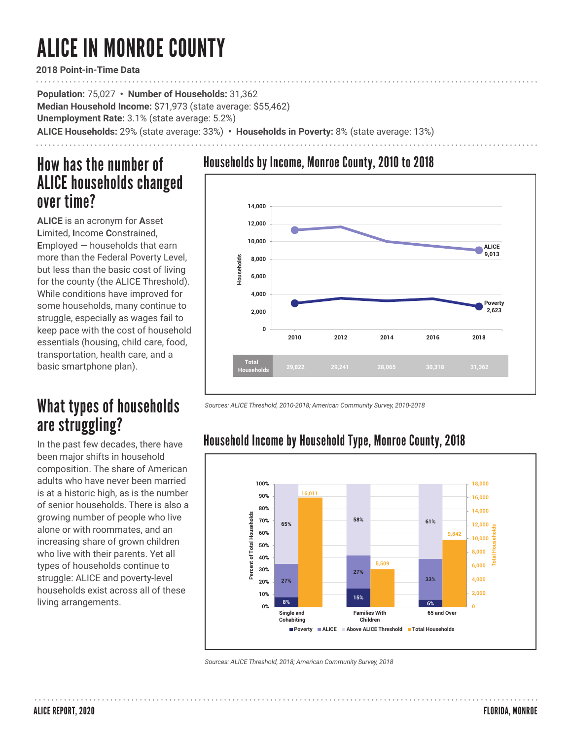# ALICE IN MONROE COUNTY

**2018 Point-in-Time Data**

**Population:** 75,027 **• Number of Households:** 31,362 **Median Household Income:** \$71,973 (state average: \$55,462) **Unemployment Rate:** 3.1% (state average: 5.2%) **ALICE Households:** 29% (state average: 33%) **• Households in Poverty:** 8% (state average: 13%)

## How has the number of ALICE households changed over time?

**ALICE** is an acronym for **A**sset **L**imited, **I**ncome **C**onstrained, **E**mployed — households that earn more than the Federal Poverty Level, but less than the basic cost of living for the county (the ALICE Threshold). While conditions have improved for some households, many continue to struggle, especially as wages fail to keep pace with the cost of household essentials (housing, child care, food, transportation, health care, and a basic smartphone plan).

# What types of households are struggling?

In the past few decades, there have been major shifts in household composition. The share of American adults who have never been married is at a historic high, as is the number of senior households. There is also a growing number of people who live alone or with roommates, and an increasing share of grown children who live with their parents. Yet all types of households continue to struggle: ALICE and poverty-level households exist across all of these living arrangements.

## Households by Income, Monroe County, 2010 to 2018



*Sources: ALICE Threshold, 2010-2018; American Community Survey, 2010-2018* 



## Household Income by Household Type, Monroe County, 2018

*Sources: ALICE Threshold, 2018; American Community Survey, 2018*